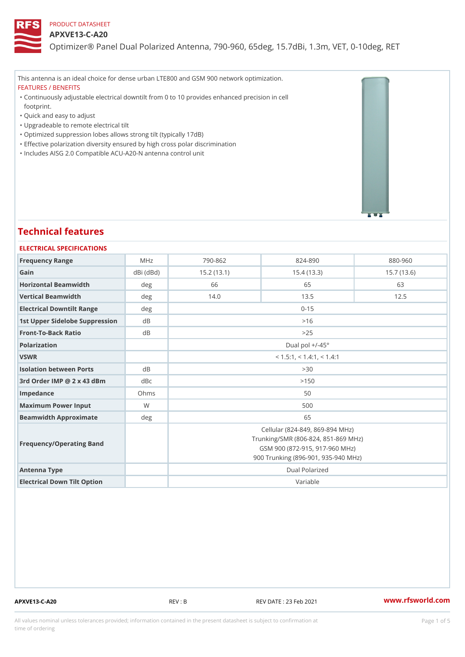#### APXVE13-C-A20

Optimizer® Panel Dual Polarized Antenna, 790-960, 65deg, 15.7dBi, 1.

This antenna is an ideal choice for dense urban LTE800 and GSM 900 network optimization. FEATURES / BENEFITS

Continuously adjustable electrical downtilt from 0 to 10 provides enhanced precision in cell " footprint.

- "Quick and easy to adjust
- "Upgradeable to remote electrical tilt
- "Optimized suppression lobes allows strong tilt (typically 17dB)
- "Effective polarization diversity ensured by high cross polar discrimination
- "Includes AISG 2.0 Compatible ACU-A20-N antenna control unit

# Technical features

| ELECTRICAL SPECIFICATIONS      |                 |                                                                                                                                                 |             |             |
|--------------------------------|-----------------|-------------------------------------------------------------------------------------------------------------------------------------------------|-------------|-------------|
| Frequency Range                | MHz             | $790 - 862$                                                                                                                                     | $824 - 890$ | $880 - 960$ |
| Gain                           | $dBi$ ( $dBd$ ) | 15.2(13.1)                                                                                                                                      | 15.4(13.3)  | 15.7(13.6)  |
| Horizontal Beamwidth           | deg             | 66                                                                                                                                              | 65          | 63          |
| Vertical Beamwidth             | deg             | 14.0                                                                                                                                            | 13.5        | 12.5        |
| Electrical Downtilt Range      | deg             |                                                                                                                                                 | $0 - 15$    |             |
| 1st Upper Sidelobe SuppresdBon |                 | >16                                                                                                                                             |             |             |
| Front-To-Back Ratio            | d B             | > 25                                                                                                                                            |             |             |
| Polarization                   |                 | Dual pol $+/-45^{\circ}$                                                                                                                        |             |             |
| VSWR                           |                 | $<$ 1.5:1, $<$ 1.4:1, $<$ 1.4:1                                                                                                                 |             |             |
| Isolation between Ports        | d B             | > 30                                                                                                                                            |             |             |
| 3rd Order IMP @ 2 x 43 dBmdBc  |                 |                                                                                                                                                 | >150        |             |
| Impedance                      | Ohms            | 50                                                                                                                                              |             |             |
| Maximum Power Input            | W               |                                                                                                                                                 | 500         |             |
| Beamwidth Approximate          | deq             |                                                                                                                                                 | 65          |             |
| Frequency/Operating Band       |                 | Cellular (824-849, 869-894 MHz)<br>Trunking/SMR (806-824, 851-869 MHz)<br>GSM 900 (872-915, 917-960 MHz)<br>900 Trunking (896-901, 935-940 MHz) |             |             |
| Antenna Type                   |                 | Dual Polarized                                                                                                                                  |             |             |
| Electrical Down Tilt Option    |                 |                                                                                                                                                 | Variable    |             |

APXVE13-C-A20 REV : B REV DATE : 23 Feb 2021 [www.](https://www.rfsworld.com)rfsworld.com

All values nominal unless tolerances provided; information contained in the present datasheet is subject to Pcapgeight Stio time of ordering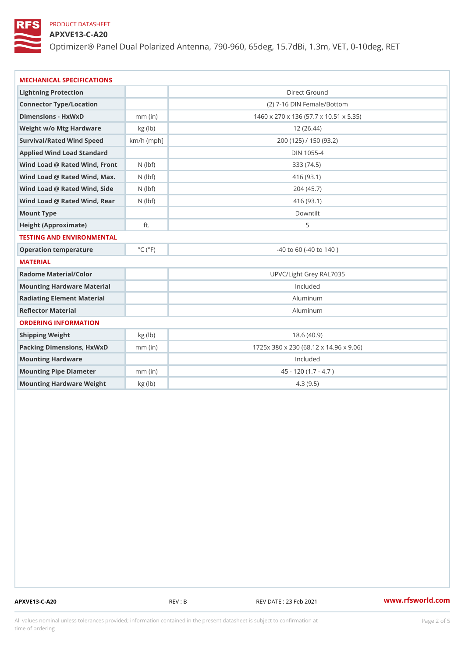## APXVE13-C-A20

Optimizer® Panel Dual Polarized Antenna, 790-960, 65deg, 15.7dBi, 1.

| MECHANICAL SPECIFICATIONS          |                             |                                        |  |  |
|------------------------------------|-----------------------------|----------------------------------------|--|--|
| Lightning Protection               |                             | Direct Ground                          |  |  |
| Connector Type/Location            |                             | (2) 7-16 DIN Female/Bottom             |  |  |
| Dimensions - HxWxD                 | $mm$ (in)                   | 1460 x 270 x 136 (57.7 x 10.51 x 5.35) |  |  |
| Weight w/o Mtg Hardware kg (lb)    |                             | 12(26.44)                              |  |  |
| Survival/Rated Wind Spekch/h (mph) |                             | 200 (125) / 150 (93.2)                 |  |  |
| Applied Wind Load Standard         |                             | DIN 1055-4                             |  |  |
| Wind Load @ Rated Wind, FNro(httf) |                             | 333 (74.5)                             |  |  |
| Wind Load @ Rated Wind, Ma(xbf)    |                             | 416 (93.1)                             |  |  |
| Wind Load @ Rated Wind, Slidebf)   |                             | 204 (45.7)                             |  |  |
| Wind Load @ Rated Wind, Reashbf)   |                             | 416 (93.1)                             |  |  |
| Mount Type                         |                             | Downtilt                               |  |  |
| Height (Approximate)               | ft.                         | 5                                      |  |  |
| TESTING AND ENVIRONMENTAL          |                             |                                        |  |  |
| Operation temperature              | $^{\circ}$ C ( $^{\circ}$ F | $-40$ to 60 ( $-40$ to 140)            |  |  |
| MATERIAL                           |                             |                                        |  |  |
| Radome Material/Color              |                             | UPVC/Light Grey RAL7035                |  |  |
| Mounting Hardware Material         |                             | Included                               |  |  |
| Radiating Element Material         |                             | Aluminum                               |  |  |
| Reflector Material                 |                             | Aluminum                               |  |  |
| ORDERING INFORMATION               |                             |                                        |  |  |
| Shipping Weight                    | kg (lb)                     | 18.6(40.9)                             |  |  |
| Packing Dimensions, Hx W xnDm (in) |                             | 1725x 380 x 230 (68.12 x 14.96 x 9.06) |  |  |
| Mounting Hardware                  |                             | Included                               |  |  |
| Mounting Pipe Diameter             | $mm$ (in)                   | $45 - 120 (1.7 - 4.7)$                 |  |  |
| Mounting Hardware Weightkg (Ib)    |                             | 4.3(9.5)                               |  |  |

APXVE13-C-A20 REV : B REV : REV DATE : 23 Feb 2021 WWW.rfsworld.com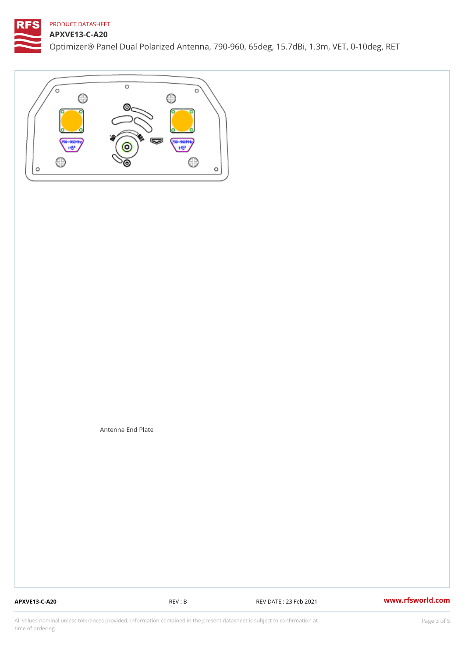### APXVE13-C-A20

Optimizer® Panel Dual Polarized Antenna, 790-960, 65deg, 15.7dBi, 1.

Antenna End Plate

APXVE13-C-A20 REV : B REV DATE : 23 Feb 2021 [www.](https://www.rfsworld.com)rfsworld.com

All values nominal unless tolerances provided; information contained in the present datasheet is subject to Pcapgeling that i time of ordering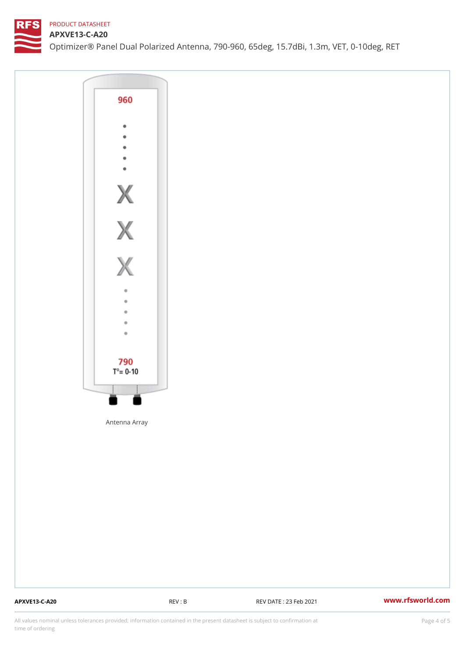### APXVE13-C-A20

Optimizer® Panel Dual Polarized Antenna, 790-960, 65deg, 15.7dBi, 1.

Antenna Array

APXVE13-C-A20 REV : B REV DATE : 23 Feb 2021 [www.](https://www.rfsworld.com)rfsworld.com

All values nominal unless tolerances provided; information contained in the present datasheet is subject to Pcapgnéig4m ssti time of ordering